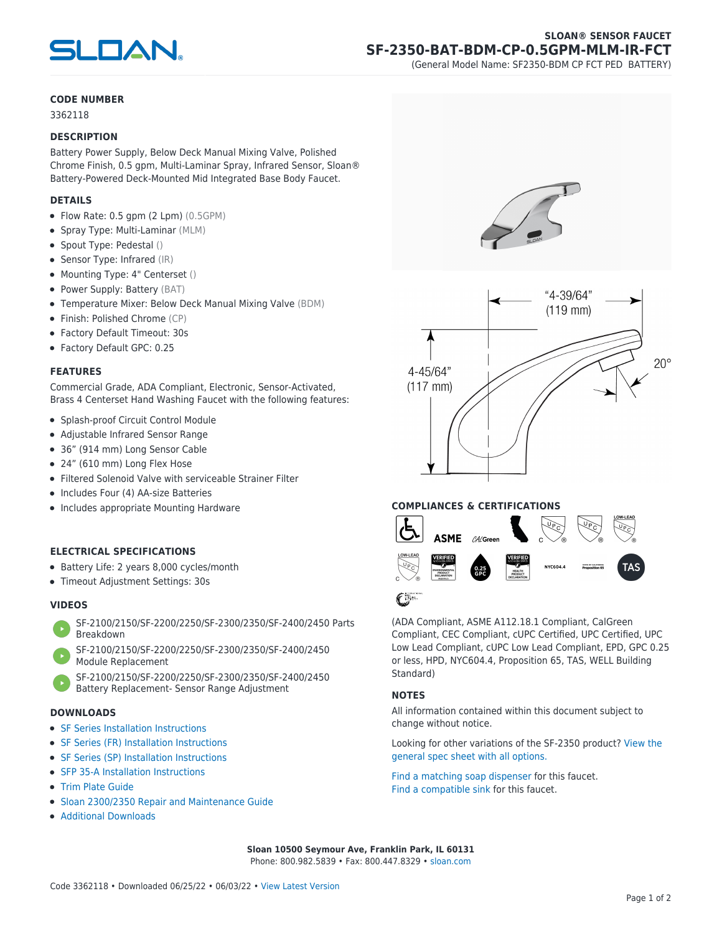

## **SLOAN® SENSOR FAUCET SF-2350-BAT-BDM-CP-0.5GPM-MLM-IR-FCT**

(General Model Name: SF2350-BDM CP FCT PED BATTERY)

#### **CODE NUMBER**

3362118

#### **DESCRIPTION**

Battery Power Supply, Below Deck Manual Mixing Valve, Polished Chrome Finish, 0.5 gpm, Multi-Laminar Spray, Infrared Sensor, Sloan® Battery-Powered Deck-Mounted Mid Integrated Base Body Faucet.

#### **DETAILS**

- $\bullet$  Flow Rate: 0.5 gpm (2 Lpm)  $(0.5GPM)$
- Spray Type: Multi-Laminar (MLM)
- Spout Type: Pedestal ()
- Sensor Type: Infrared (IR)
- Mounting Type: 4" Centerset ()
- Power Supply: Battery (BAT)
- Temperature Mixer: Below Deck Manual Mixing Valve (BDM)
- Finish: Polished Chrome (CP)
- Factory Default Timeout: 30s
- Factory Default GPC: 0.25

#### **FEATURES**

Commercial Grade, ADA Compliant, Electronic, Sensor-Activated, Brass 4 Centerset Hand Washing Faucet with the following features:

- Splash-proof Circuit Control Module
- Adjustable Infrared Sensor Range
- 36" (914 mm) Long Sensor Cable
- 24" (610 mm) Long Flex Hose
- Filtered Solenoid Valve with serviceable Strainer Filter
- Includes Four (4) AA-size Batteries
- Includes appropriate Mounting Hardware

#### **ELECTRICAL SPECIFICATIONS**

- Battery Life: 2 years 8,000 cycles/month
- Timeout Adjustment Settings: 30s

#### **VIDEOS**

- [SF-2100/2150/SF-2200/2250/SF-2300/2350/SF-2400/2450 Parts](https://vimeo.com/307089947) [Breakdown](https://vimeo.com/307089947)
- [SF-2100/2150/SF-2200/2250/SF-2300/2350/SF-2400/2450](https://vimeo.com/307087494) [Module Replacement](https://vimeo.com/307087494)
	- [SF-2100/2150/SF-2200/2250/SF-2300/2350/SF-2400/2450](https://vimeo.com/307085279) [Battery Replacement- Sensor Range Adjustment](https://vimeo.com/307085279)

#### **DOWNLOADS**

- [SF Series Installation Instructions](https://www.sloan.com/sites/default/files/2018-02/II0816496Rev5_0.pdf)
- [SF Series \(FR\) Installation Instructions](https://www.sloan.com/sites/default/files/2015-12/0816563-fr.pdf)
- [SF Series \(SP\) Installation Instructions](https://www.sloan.com/sites/default/files/2022-03/0816568SP_Rev2.pdf)
- [SFP 35-A Installation Instructions](https://www.sloan.com/sites/default/files/2015-12/0816817.pdf)
- [Trim Plate Guide](https://www.sloan.com/sites/default/files/2020-03/Trim_PlatesAllFaucets.pdf)
- [Sloan 2300/2350 Repair and Maintenance Guide](https://www.sloan.com/sites/default/files/2022-06/Sloan-2300-2350.pdf)
- [Additional Downloads](https://www.sloan.com/commercial-bathroom-products/faucets/sloan/sf-2350)







(ADA Compliant, ASME A112.18.1 Compliant, CalGreen Compliant, CEC Compliant, cUPC Certified, UPC Certified, UPC Low Lead Compliant, cUPC Low Lead Compliant, EPD, GPC 0.25 or less, HPD, NYC604.4, Proposition 65, TAS, WELL Building Standard)

### **NOTES**

All information contained within this document subject to change without notice.

[Looking for other variations of the SF-2350 product? View the](https://www.sloan.com/general-spec/426) [general spec sheet with all options.](https://www.sloan.com/general-spec/426)

[Find a matching soap dispenser](https://www.sloan.com/commercial-bathroom-products/soap-dispensers) for this faucet. [Find a compatible sink](https://www.sloan.com/commercial-bathroom-products/sinks) for this faucet.

**Sloan 10500 Seymour Ave, Franklin Park, IL 60131** Phone: 800.982.5839 • Fax: 800.447.8329 • [sloan.com](https://www.sloan.com)